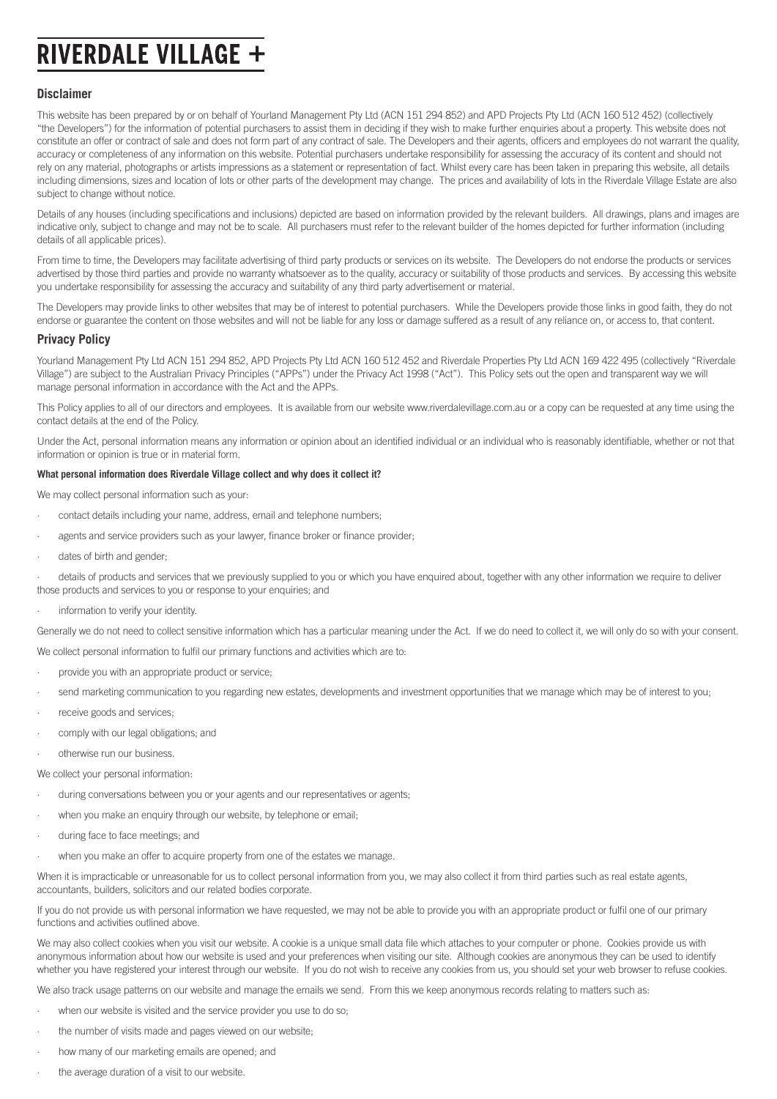# **RIVERDALE VILLAGE +**

## **Disclaimer**

This website has been prepared by or on behalf of Yourland Management Pty Ltd (ACN 151 294 852) and APD Projects Pty Ltd (ACN 160 512 452) (collectively "the Developers") for the information of potential purchasers to assist them in deciding if they wish to make further enquiries about a property. This website does not constitute an offer or contract of sale and does not form part of any contract of sale. The Developers and their agents, officers and employees do not warrant the quality, accuracy or completeness of any information on this website. Potential purchasers undertake responsibility for assessing the accuracy of its content and should not rely on any material, photographs or artists impressions as a statement or representation of fact. Whilst every care has been taken in preparing this website, all details including dimensions, sizes and location of lots or other parts of the development may change. The prices and availability of lots in the Riverdale Village Estate are also subject to change without notice.

Details of any houses (including specifications and inclusions) depicted are based on information provided by the relevant builders. All drawings, plans and images are indicative only, subject to change and may not be to scale. All purchasers must refer to the relevant builder of the homes depicted for further information (including details of all applicable prices).

From time to time, the Developers may facilitate advertising of third party products or services on its website. The Developers do not endorse the products or services advertised by those third parties and provide no warranty whatsoever as to the quality, accuracy or suitability of those products and services. By accessing this website you undertake responsibility for assessing the accuracy and suitability of any third party advertisement or material.

The Developers may provide links to other websites that may be of interest to potential purchasers. While the Developers provide those links in good faith, they do not endorse or guarantee the content on those websites and will not be liable for any loss or damage suffered as a result of any reliance on, or access to, that content.

# **Privacy Policy**

Yourland Management Pty Ltd ACN 151 294 852, APD Projects Pty Ltd ACN 160 512 452 and Riverdale Properties Pty Ltd ACN 169 422 495 (collectively "Riverdale Village") are subject to the Australian Privacy Principles ("APPs") under the Privacy Act 1998 ("Act"). This Policy sets out the open and transparent way we will manage personal information in accordance with the Act and the APPs.

This Policy applies to all of our directors and employees. It is available from our website www.riverdalevillage.com.au or a copy can be requested at any time using the contact details at the end of the Policy.

Under the Act, personal information means any information or opinion about an identified individual or an individual who is reasonably identifiable, whether or not that information or opinion is true or in material form.

#### **What personal information does Riverdale Village collect and why does it collect it?**

We may collect personal information such as your:

- contact details including your name, address, email and telephone numbers;
- agents and service providers such as your lawyer, finance broker or finance provider;
- dates of birth and gender:

· details of products and services that we previously supplied to you or which you have enquired about, together with any other information we require to deliver those products and services to you or response to your enquiries; and

information to verify your identity.

Generally we do not need to collect sensitive information which has a particular meaning under the Act. If we do need to collect it, we will only do so with your consent.

We collect personal information to fulfil our primary functions and activities which are to:

- · provide you with an appropriate product or service;
- · send marketing communication to you regarding new estates, developments and investment opportunities that we manage which may be of interest to you;
- receive goods and services;
- comply with our legal obligations; and
- otherwise run our business.
- We collect your personal information:
- · during conversations between you or your agents and our representatives or agents;
- when you make an enquiry through our website, by telephone or email;
- during face to face meetings; and
- when you make an offer to acquire property from one of the estates we manage.

When it is impracticable or unreasonable for us to collect personal information from you, we may also collect it from third parties such as real estate agents, accountants, builders, solicitors and our related bodies corporate.

If you do not provide us with personal information we have requested, we may not be able to provide you with an appropriate product or fulfil one of our primary functions and activities outlined above.

We may also collect cookies when you visit our website. A cookie is a unique small data file which attaches to your computer or phone. Cookies provide us with anonymous information about how our website is used and your preferences when visiting our site. Although cookies are anonymous they can be used to identify whether you have registered your interest through our website. If you do not wish to receive any cookies from us, you should set your web browser to refuse cookies.

We also track usage patterns on our website and manage the emails we send. From this we keep anonymous records relating to matters such as:

- when our website is visited and the service provider you use to do so:
- · the number of visits made and pages viewed on our website;
- how many of our marketing emails are opened; and
- the average duration of a visit to our website.